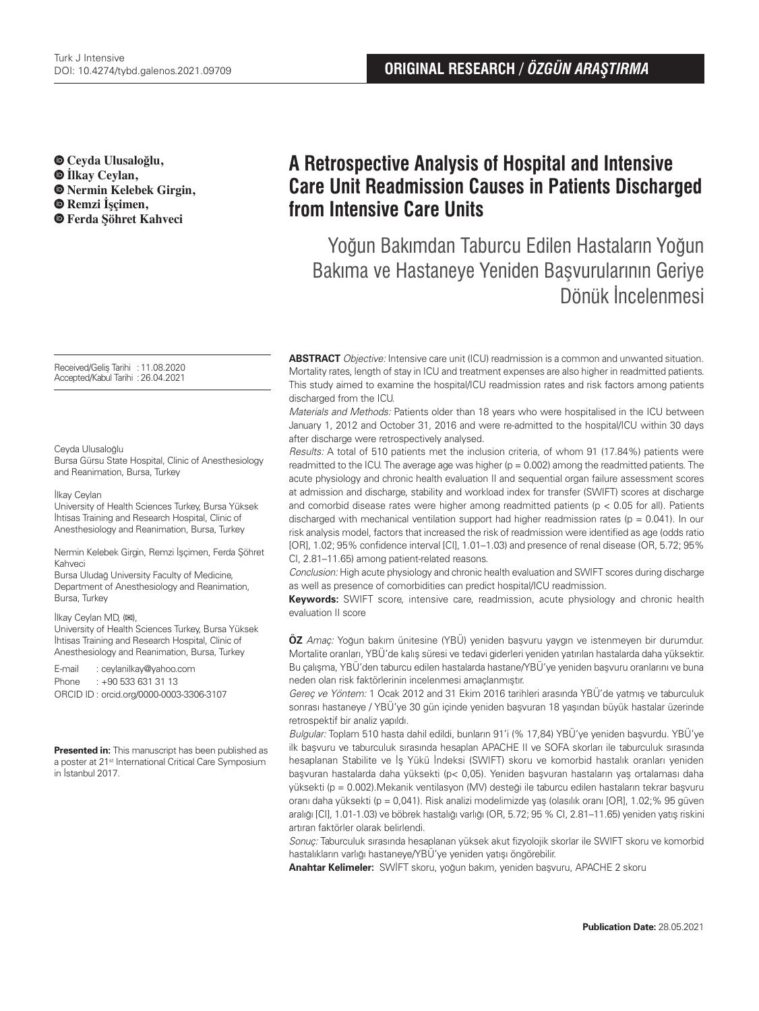**Ceyda Ulusaloğlu, İlkay Ceylan, Nermin Kelebek Girgin, Remzi İşçimen, Ferda Şöhret Kahveci**

Received/Geliş Tarihi :11.08.2020 Accepted/Kabul Tarihi :26.04.2021

#### Ceyda Ulusaloğlu

Bursa Gürsu State Hospital, Clinic of Anesthesiology and Reanimation, Bursa, Turkey

#### İlkay Ceylan

University of Health Sciences Turkey, Bursa Yüksek İhtisas Training and Research Hospital, Clinic of Anesthesiology and Reanimation, Bursa, Turkey

Nermin Kelebek Girgin, Remzi İşçimen, Ferda Şöhret Kahveci

Bursa Uludağ University Faculty of Medicine, Department of Anesthesiology and Reanimation, Bursa, Turkey

İlkay Ceylan MD, (**✉**),

University of Health Sciences Turkey, Bursa Yüksek İhtisas Training and Research Hospital, Clinic of Anesthesiology and Reanimation, Bursa, Turkey

E-mail : ceylanilkay@yahoo.com Phone : +90 533 631 31 13 ORCID ID : orcid.org/0000-0003-3306-3107

**Presented in:** This manuscript has been published as a poster at 21<sup>st</sup> International Critical Care Symposium in İstanbul 2017.

# **A Retrospective Analysis of Hospital and Intensive Care Unit Readmission Causes in Patients Discharged from Intensive Care Units**

Yoğun Bakımdan Taburcu Edilen Hastaların Yoğun Bakıma ve Hastaneye Yeniden Başvurularının Geriye Dönük İncelenmesi

**ABSTRACT** Objective: Intensive care unit (ICU) readmission is a common and unwanted situation. Mortality rates, length of stay in ICU and treatment expenses are also higher in readmitted patients. This study aimed to examine the hospital/ICU readmission rates and risk factors among patients discharged from the ICU.

Materials and Methods: Patients older than 18 years who were hospitalised in the ICU between January 1, 2012 and October 31, 2016 and were re-admitted to the hospital/ICU within 30 days after discharge were retrospectively analysed.

Results: A total of 510 patients met the inclusion criteria, of whom 91 (17.84%) patients were readmitted to the ICU. The average age was higher  $(p = 0.002)$  among the readmitted patients. The acute physiology and chronic health evaluation II and sequential organ failure assessment scores at admission and discharge, stability and workload index for transfer (SWIFT) scores at discharge and comorbid disease rates were higher among readmitted patients ( $p < 0.05$  for all). Patients discharged with mechanical ventilation support had higher readmission rates ( $p = 0.041$ ). In our risk analysis model, factors that increased the risk of readmission were identified as age (odds ratio [OR], 1.02; 95% confidence interval [CI], 1.01–1.03) and presence of renal disease (OR, 5.72; 95% CI, 2.81–11.65) among patient-related reasons.

Conclusion: High acute physiology and chronic health evaluation and SWIFT scores during discharge as well as presence of comorbidities can predict hospital/ICU readmission.

**Keywords:** SWIFT score, intensive care, readmission, acute physiology and chronic health evaluation II score

**ÖZ** Amaç: Yoğun bakım ünitesine (YBÜ) yeniden başvuru yaygın ve istenmeyen bir durumdur. Mortalite oranları, YBÜ'de kalış süresi ve tedavi giderleri yeniden yatırılan hastalarda daha yüksektir. Bu çalışma, YBÜ'den taburcu edilen hastalarda hastane/YBÜ'ye yeniden başvuru oranlarını ve buna neden olan risk faktörlerinin incelenmesi amaçlanmıştır.

Gereç ve Yöntem: 1 Ocak 2012 and 31 Ekim 2016 tarihleri arasında YBÜ'de yatmış ve taburculuk sonrası hastaneye / YBÜ'ye 30 gün içinde yeniden başvuran 18 yaşından büyük hastalar üzerinde retrospektif bir analiz yapıldı.

Bulgular: Toplam 510 hasta dahil edildi, bunların 91'i (% 17,84) YBÜ'ye yeniden başvurdu. YBÜ'ye ilk başvuru ve taburculuk sırasında hesaplan APACHE II ve SOFA skorları ile taburculuk sırasında hesaplanan Stabilite ve İş Yükü İndeksi (SWIFT) skoru ve komorbid hastalık oranları yeniden başvuran hastalarda daha yüksekti (p< 0,05). Yeniden başvuran hastaların yaş ortalaması daha yüksekti (p = 0.002).Mekanik ventilasyon (MV) desteği ile taburcu edilen hastaların tekrar başvuru oranı daha yüksekti (p = 0,041). Risk analizi modelimizde yaş (olasılık oranı [OR], 1.02;% 95 güven aralığı [CI], 1.01-1.03) ve böbrek hastalığı varlığı (OR, 5.72; 95 % CI, 2.81–11.65) yeniden yatış riskini artıran faktörler olarak belirlendi.

Sonuç: Taburculuk sırasında hesaplanan yüksek akut fizyolojik skorlar ile SWIFT skoru ve komorbid hastalıkların varlığı hastaneye/YBÜ'ye yeniden yatışı öngörebilir.

**Anahtar Kelimeler:** SWİFT skoru, yoğun bakım, yeniden başvuru, APACHE 2 skoru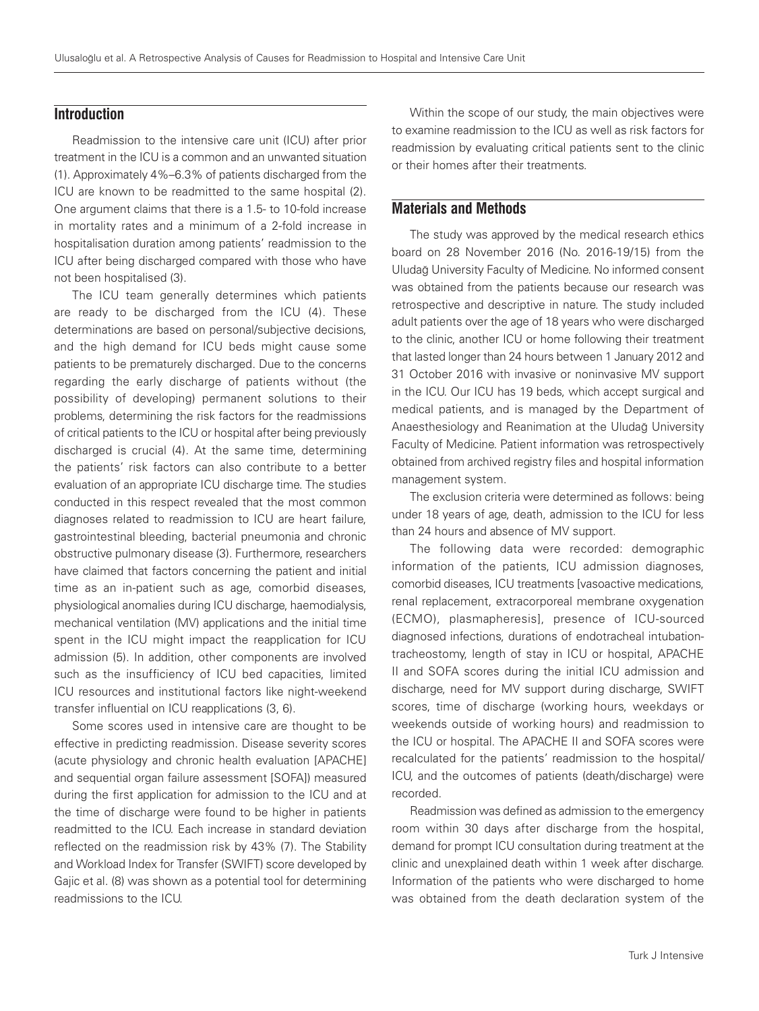## **Introduction**

Readmission to the intensive care unit (ICU) after prior treatment in the ICU is a common and an unwanted situation (1). Approximately 4%–6.3% of patients discharged from the ICU are known to be readmitted to the same hospital (2). One argument claims that there is a 1.5- to 10-fold increase in mortality rates and a minimum of a 2-fold increase in hospitalisation duration among patients' readmission to the ICU after being discharged compared with those who have not been hospitalised (3).

The ICU team generally determines which patients are ready to be discharged from the ICU (4). These determinations are based on personal/subjective decisions, and the high demand for ICU beds might cause some patients to be prematurely discharged. Due to the concerns regarding the early discharge of patients without (the possibility of developing) permanent solutions to their problems, determining the risk factors for the readmissions of critical patients to the ICU or hospital after being previously discharged is crucial (4). At the same time, determining the patients' risk factors can also contribute to a better evaluation of an appropriate ICU discharge time. The studies conducted in this respect revealed that the most common diagnoses related to readmission to ICU are heart failure, gastrointestinal bleeding, bacterial pneumonia and chronic obstructive pulmonary disease (3). Furthermore, researchers have claimed that factors concerning the patient and initial time as an in-patient such as age, comorbid diseases, physiological anomalies during ICU discharge, haemodialysis, mechanical ventilation (MV) applications and the initial time spent in the ICU might impact the reapplication for ICU admission (5). In addition, other components are involved such as the insufficiency of ICU bed capacities, limited ICU resources and institutional factors like night-weekend transfer influential on ICU reapplications (3, 6).

Some scores used in intensive care are thought to be effective in predicting readmission. Disease severity scores (acute physiology and chronic health evaluation [APACHE] and sequential organ failure assessment [SOFA]) measured during the first application for admission to the ICU and at the time of discharge were found to be higher in patients readmitted to the ICU. Each increase in standard deviation reflected on the readmission risk by 43% (7). The Stability and Workload Index for Transfer (SWIFT) score developed by Gajic et al. (8) was shown as a potential tool for determining readmissions to the ICU.

Within the scope of our study, the main objectives were to examine readmission to the ICU as well as risk factors for readmission by evaluating critical patients sent to the clinic or their homes after their treatments.

# **Materials and Methods**

The study was approved by the medical research ethics board on 28 November 2016 (No. 2016-19/15) from the Uludağ University Faculty of Medicine. No informed consent was obtained from the patients because our research was retrospective and descriptive in nature. The study included adult patients over the age of 18 years who were discharged to the clinic, another ICU or home following their treatment that lasted longer than 24 hours between 1 January 2012 and 31 October 2016 with invasive or noninvasive MV support in the ICU. Our ICU has 19 beds, which accept surgical and medical patients, and is managed by the Department of Anaesthesiology and Reanimation at the Uludağ University Faculty of Medicine. Patient information was retrospectively obtained from archived registry files and hospital information management system.

The exclusion criteria were determined as follows: being under 18 years of age, death, admission to the ICU for less than 24 hours and absence of MV support.

The following data were recorded: demographic information of the patients, ICU admission diagnoses, comorbid diseases, ICU treatments [vasoactive medications, renal replacement, extracorporeal membrane oxygenation (ECMO), plasmapheresis], presence of ICU-sourced diagnosed infections, durations of endotracheal intubationtracheostomy, length of stay in ICU or hospital, APACHE II and SOFA scores during the initial ICU admission and discharge, need for MV support during discharge, SWIFT scores, time of discharge (working hours, weekdays or weekends outside of working hours) and readmission to the ICU or hospital. The APACHE II and SOFA scores were recalculated for the patients' readmission to the hospital/ ICU, and the outcomes of patients (death/discharge) were recorded.

Readmission was defined as admission to the emergency room within 30 days after discharge from the hospital, demand for prompt ICU consultation during treatment at the clinic and unexplained death within 1 week after discharge. Information of the patients who were discharged to home was obtained from the death declaration system of the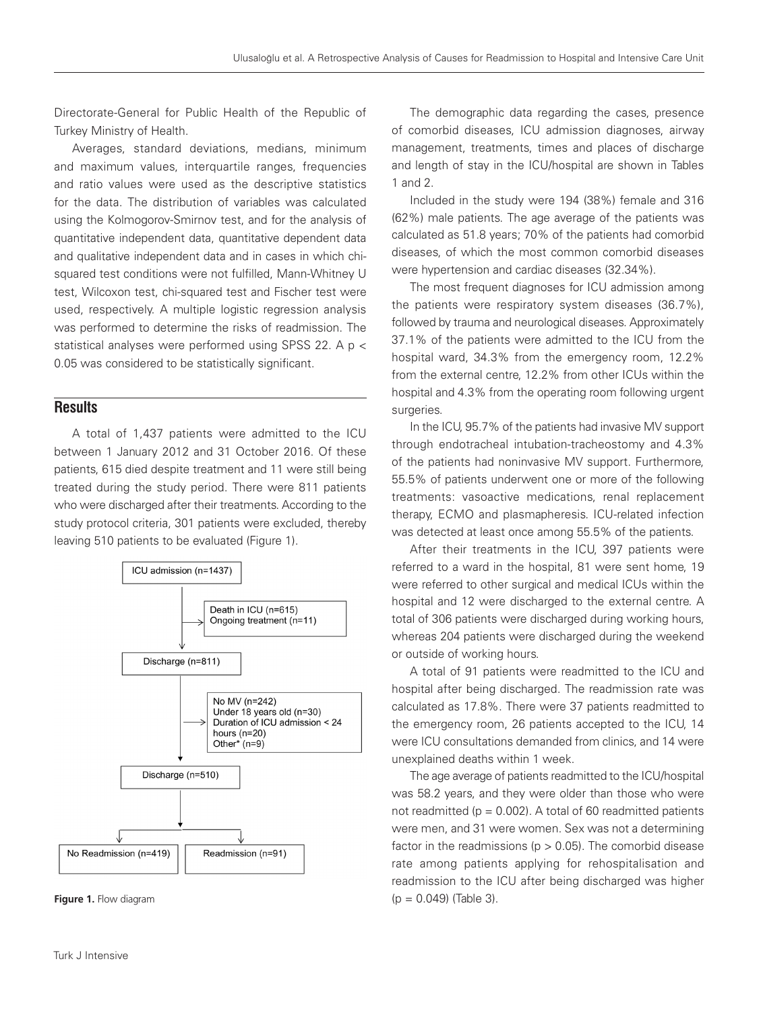Directorate-General for Public Health of the Republic of Turkey Ministry of Health.

Averages, standard deviations, medians, minimum and maximum values, interquartile ranges, frequencies and ratio values were used as the descriptive statistics for the data. The distribution of variables was calculated using the Kolmogorov-Smirnov test, and for the analysis of quantitative independent data, quantitative dependent data and qualitative independent data and in cases in which chisquared test conditions were not fulfilled, Mann-Whitney U test, Wilcoxon test, chi-squared test and Fischer test were used, respectively. A multiple logistic regression analysis was performed to determine the risks of readmission. The statistical analyses were performed using SPSS 22. A p < 0.05 was considered to be statistically significant.

## **Results**

A total of 1,437 patients were admitted to the ICU between 1 January 2012 and 31 October 2016. Of these patients, 615 died despite treatment and 11 were still being treated during the study period. There were 811 patients who were discharged after their treatments. According to the study protocol criteria, 301 patients were excluded, thereby leaving 510 patients to be evaluated (Figure 1).





The demographic data regarding the cases, presence of comorbid diseases, ICU admission diagnoses, airway management, treatments, times and places of discharge and length of stay in the ICU/hospital are shown in Tables 1 and 2.

Included in the study were 194 (38%) female and 316 (62%) male patients. The age average of the patients was calculated as 51.8 years; 70% of the patients had comorbid diseases, of which the most common comorbid diseases were hypertension and cardiac diseases (32.34%).

The most frequent diagnoses for ICU admission among the patients were respiratory system diseases (36.7%), followed by trauma and neurological diseases. Approximately 37.1% of the patients were admitted to the ICU from the hospital ward, 34.3% from the emergency room, 12.2% from the external centre, 12.2% from other ICUs within the hospital and 4.3% from the operating room following urgent surgeries.

In the ICU, 95.7% of the patients had invasive MV support through endotracheal intubation-tracheostomy and 4.3% of the patients had noninvasive MV support. Furthermore, 55.5% of patients underwent one or more of the following treatments: vasoactive medications, renal replacement therapy, ECMO and plasmapheresis. ICU-related infection was detected at least once among 55.5% of the patients.

After their treatments in the ICU, 397 patients were referred to a ward in the hospital, 81 were sent home, 19 were referred to other surgical and medical ICUs within the hospital and 12 were discharged to the external centre. A total of 306 patients were discharged during working hours, whereas 204 patients were discharged during the weekend or outside of working hours.

A total of 91 patients were readmitted to the ICU and hospital after being discharged. The readmission rate was calculated as 17.8%. There were 37 patients readmitted to the emergency room, 26 patients accepted to the ICU, 14 were ICU consultations demanded from clinics, and 14 were unexplained deaths within 1 week.

The age average of patients readmitted to the ICU/hospital was 58.2 years, and they were older than those who were not readmitted ( $p = 0.002$ ). A total of 60 readmitted patients were men, and 31 were women. Sex was not a determining factor in the readmissions ( $p > 0.05$ ). The comorbid disease rate among patients applying for rehospitalisation and readmission to the ICU after being discharged was higher **Figure 1.** Flow diagram  $(p = 0.049)$  (Table 3).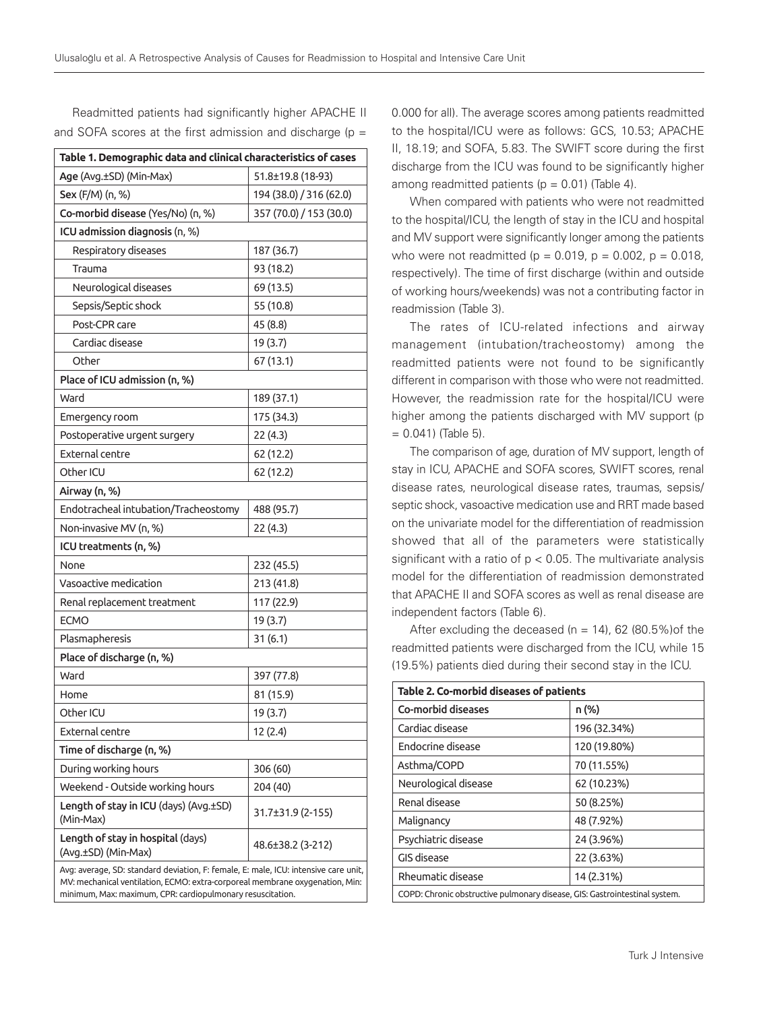Readmitted patients had significantly higher APACHE II and SOFA scores at the first admission and discharge ( $p =$ 

| Table 1. Demographic data and clinical characteristics of cases                     |                         |  |  |  |  |  |
|-------------------------------------------------------------------------------------|-------------------------|--|--|--|--|--|
| Age (Avg.±SD) (Min-Max)                                                             | 51.8±19.8 (18-93)       |  |  |  |  |  |
| Sex (F/M) (n, %)                                                                    | 194 (38.0) / 316 (62.0) |  |  |  |  |  |
| Co-morbid disease (Yes/No) (n, %)                                                   | 357 (70.0) / 153 (30.0) |  |  |  |  |  |
| ICU admission diagnosis (n, %)                                                      |                         |  |  |  |  |  |
| Respiratory diseases                                                                | 187 (36.7)              |  |  |  |  |  |
| Trauma                                                                              | 93 (18.2)               |  |  |  |  |  |
| Neurological diseases                                                               | 69 (13.5)               |  |  |  |  |  |
| Sepsis/Septic shock                                                                 | 55 (10.8)               |  |  |  |  |  |
| Post-CPR care                                                                       | 45 (8.8)                |  |  |  |  |  |
| Cardiac disease                                                                     | 19 (3.7)                |  |  |  |  |  |
| Other                                                                               | 67 (13.1)               |  |  |  |  |  |
| Place of ICU admission (n, %)                                                       |                         |  |  |  |  |  |
| Ward                                                                                | 189 (37.1)              |  |  |  |  |  |
| Emergency room                                                                      | 175 (34.3)              |  |  |  |  |  |
| Postoperative urgent surgery                                                        | 22(4.3)                 |  |  |  |  |  |
| <b>External centre</b>                                                              | 62 (12.2)               |  |  |  |  |  |
| Other ICU                                                                           | 62 (12.2)               |  |  |  |  |  |
| Airway (n, %)                                                                       |                         |  |  |  |  |  |
| Endotracheal intubation/Tracheostomy                                                | 488 (95.7)              |  |  |  |  |  |
| Non-invasive MV (n, %)                                                              | 22(4.3)                 |  |  |  |  |  |
| ICU treatments (n, %)                                                               |                         |  |  |  |  |  |
| None                                                                                | 232 (45.5)              |  |  |  |  |  |
| Vasoactive medication                                                               | 213 (41.8)              |  |  |  |  |  |
| Renal replacement treatment                                                         | 117 (22.9)              |  |  |  |  |  |
| <b>ECMO</b>                                                                         | 19 (3.7)                |  |  |  |  |  |
| Plasmapheresis                                                                      | 31(6.1)                 |  |  |  |  |  |
| Place of discharge (n, %)                                                           |                         |  |  |  |  |  |
| Ward                                                                                | 397 (77.8)              |  |  |  |  |  |
| Home                                                                                | 81 (15.9)               |  |  |  |  |  |
| Other ICU                                                                           | 19 (3.7)                |  |  |  |  |  |
| External centre                                                                     | 12 (2.4)                |  |  |  |  |  |
| Time of discharge (n, %)                                                            |                         |  |  |  |  |  |
| During working hours                                                                | 306 (60)                |  |  |  |  |  |
| Weekend - Outside working hours                                                     | 204 (40)                |  |  |  |  |  |
| Length of stay in ICU (days) (Avg.±SD)<br>(Min-Max)                                 | 31.7±31.9 (2-155)       |  |  |  |  |  |
| Length of stay in hospital (days)<br>(Avg.±SD) (Min-Max)                            | 48.6±38.2 (3-212)       |  |  |  |  |  |
| Avg: average, SD: standard deviation, F: female, E: male, ICU: intensive care unit, |                         |  |  |  |  |  |

MV: mechanical ventilation, ECMO: extra-corporeal membrane oxygenation, Min: minimum, Max: maximum, CPR: cardiopulmonary resuscitation.

0.000 for all). The average scores among patients readmitted to the hospital/ICU were as follows: GCS, 10.53; APACHE II, 18.19; and SOFA, 5.83. The SWIFT score during the first discharge from the ICU was found to be significantly higher among readmitted patients ( $p = 0.01$ ) (Table 4).

When compared with patients who were not readmitted to the hospital/ICU, the length of stay in the ICU and hospital and MV support were significantly longer among the patients who were not readmitted ( $p = 0.019$ ,  $p = 0.002$ ,  $p = 0.018$ , respectively). The time of first discharge (within and outside of working hours/weekends) was not a contributing factor in readmission (Table 3).

The rates of ICU-related infections and airway management (intubation/tracheostomy) among the readmitted patients were not found to be significantly different in comparison with those who were not readmitted. However, the readmission rate for the hospital/ICU were higher among the patients discharged with MV support (p = 0.041) (Table 5).

The comparison of age, duration of MV support, length of stay in ICU, APACHE and SOFA scores, SWIFT scores, renal disease rates, neurological disease rates, traumas, sepsis/ septic shock, vasoactive medication use and RRT made based on the univariate model for the differentiation of readmission showed that all of the parameters were statistically significant with a ratio of  $p < 0.05$ . The multivariate analysis model for the differentiation of readmission demonstrated that APACHE II and SOFA scores as well as renal disease are independent factors (Table 6).

After excluding the deceased ( $n = 14$ ), 62 (80.5%) of the readmitted patients were discharged from the ICU, while 15 (19.5%) patients died during their second stay in the ICU.

| Table 2. Co-morbid diseases of patients                                    |              |  |  |  |
|----------------------------------------------------------------------------|--------------|--|--|--|
| n (%)<br>Co-morbid diseases                                                |              |  |  |  |
| Cardiac disease                                                            | 196 (32.34%) |  |  |  |
| Endocrine disease                                                          | 120 (19.80%) |  |  |  |
| Asthma/COPD                                                                | 70 (11.55%)  |  |  |  |
| Neurological disease                                                       | 62 (10.23%)  |  |  |  |
| Renal disease                                                              | 50 (8.25%)   |  |  |  |
| Malignancy                                                                 | 48 (7.92%)   |  |  |  |
| Psychiatric disease                                                        | 24 (3.96%)   |  |  |  |
| GIS disease                                                                | 22 (3.63%)   |  |  |  |
| Rheumatic disease<br>14 (2.31%)                                            |              |  |  |  |
| COPD: Chronic obstructive pulmonary disease, GIS: Gastrointestinal system. |              |  |  |  |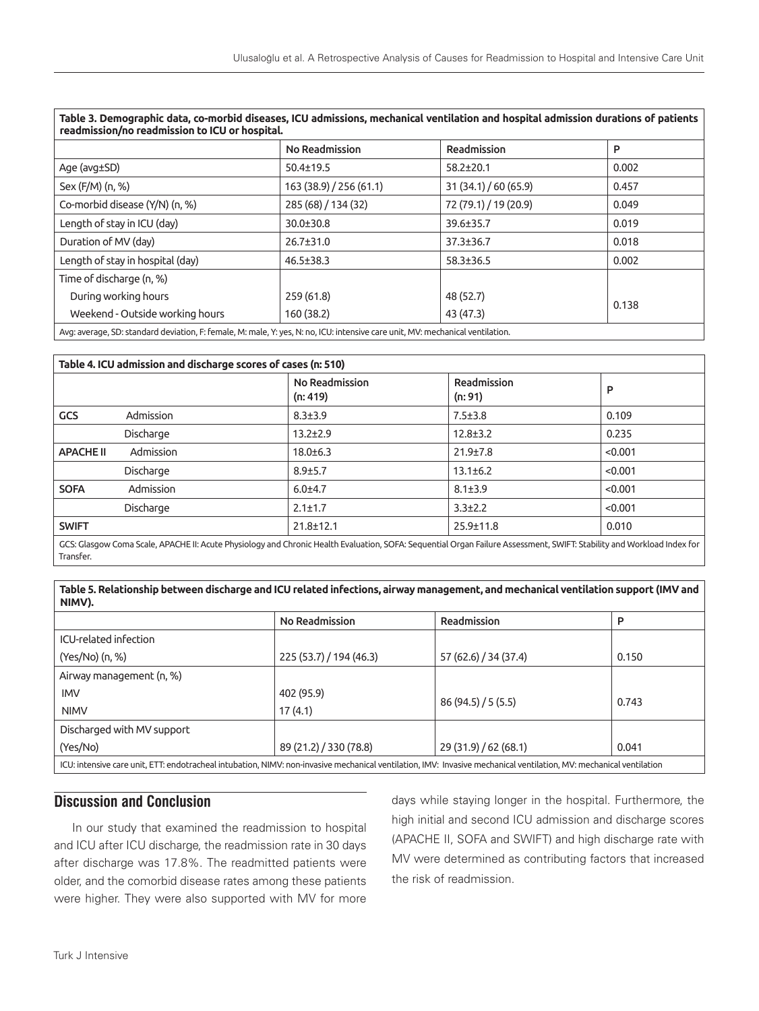| readmission/no readmission to ICU or hospital.                                                                |                         |                       |       |  |  |
|---------------------------------------------------------------------------------------------------------------|-------------------------|-----------------------|-------|--|--|
|                                                                                                               | No Readmission          | Readmission           | P     |  |  |
| Age (avg±SD)                                                                                                  | $50.4 \pm 19.5$         | $58.2 \pm 20.1$       | 0.002 |  |  |
| Sex (F/M) (n, %)                                                                                              | 163 (38.9) / 256 (61.1) | 31(34.1)/60(65.9)     | 0.457 |  |  |
| Co-morbid disease (Y/N) (n, %)                                                                                | 285 (68) / 134 (32)     | 72 (79.1) / 19 (20.9) | 0.049 |  |  |
| Length of stay in ICU (day)                                                                                   | $30.0 \pm 30.8$         | 39.6±35.7             | 0.019 |  |  |
| Duration of MV (day)                                                                                          | $26.7 \pm 31.0$         | $37.3 \pm 36.7$       | 0.018 |  |  |
| Length of stay in hospital (day)                                                                              | $46.5 \pm 38.3$         |                       | 0.002 |  |  |
| Time of discharge (n, %)                                                                                      |                         |                       |       |  |  |
| During working hours                                                                                          | 259 (61.8)              | 48 (52.7)             | 0.138 |  |  |
| Weekend - Outside working hours                                                                               | 160 (38.2)              | 43 (47.3)             |       |  |  |
| Accounts on CD, should design to Courly Missile Wills Miss Relationship security AAA security in subject to a |                         |                       |       |  |  |

| Table 3. Demographic data, co-morbid diseases, ICU admissions, mechanical ventilation and hospital admission durations of patients |  |  |  |  |
|------------------------------------------------------------------------------------------------------------------------------------|--|--|--|--|
| readmission/no readmission to ICU or hospital.                                                                                     |  |  |  |  |

Avg: average, SD: standard deviation, F: female, M: male, Y: yes, N: no, ICU: intensive care unit, MV: mechanical ventilation.

| Table 4. ICU admission and discharge scores of cases (n: 510)                                                                                                                       |                            |                        |         |  |
|-------------------------------------------------------------------------------------------------------------------------------------------------------------------------------------|----------------------------|------------------------|---------|--|
|                                                                                                                                                                                     | No Readmission<br>(n: 419) | Readmission<br>(n: 91) | P       |  |
| Admission<br><b>GCS</b>                                                                                                                                                             | $8.3 \pm 3.9$              | $7.5 \pm 3.8$          | 0.109   |  |
| Discharge                                                                                                                                                                           | $13.2 + 2.9$               | $12.8 \pm 3.2$         | 0.235   |  |
| Admission<br><b>APACHE II</b>                                                                                                                                                       | $18.0 \pm 6.3$             | $21.9 \pm 7.8$         | < 0.001 |  |
| Discharge                                                                                                                                                                           | $8.9 \pm 5.7$              | $13.1 \pm 6.2$         | < 0.001 |  |
| Admission<br><b>SOFA</b>                                                                                                                                                            | $6.0 + 4.7$                | $8.1 \pm 3.9$          | < 0.001 |  |
| Discharge                                                                                                                                                                           | $2.1 \pm 1.7$              | $3.3 \pm 2.2$          | < 0.001 |  |
| <b>SWIFT</b>                                                                                                                                                                        | $21.8 + 12.1$              | 25.9±11.8              | 0.010   |  |
| GCS: Glasgow Coma Scale, APACHE II: Acute Physiology and Chronic Health Evaluation, SOFA: Seguential Organ Failure Assessment, SWIFT: Stability and Workload Index for<br>Transfer. |                            |                        |         |  |

**Table 5. Relationship between discharge and ICU related infections, airway management, and mechanical ventilation support (IMV and NIMV).**

|                                                                                                                                                                     | No Readmission          | Readmission           | P     |  |
|---------------------------------------------------------------------------------------------------------------------------------------------------------------------|-------------------------|-----------------------|-------|--|
| ICU-related infection                                                                                                                                               |                         |                       |       |  |
| (Yes/No) (n, %)                                                                                                                                                     | 225 (53.7) / 194 (46.3) | 57 (62.6) / 34 (37.4) | 0.150 |  |
| Airway management (n, %)                                                                                                                                            |                         |                       |       |  |
| <b>IMV</b>                                                                                                                                                          | 402 (95.9)              |                       |       |  |
| <b>NIMV</b>                                                                                                                                                         | 17(4.1)                 | 86(94.5)/5(5.5)       | 0.743 |  |
| Discharged with MV support                                                                                                                                          |                         |                       |       |  |
| (Yes/No)                                                                                                                                                            | 89 (21.2) / 330 (78.8)  | 29 (31.9) / 62 (68.1) | 0.041 |  |
| ICU: intensive care unit, ETT: endotracheal intubation, NIMV: non-invasive mechanical ventilation, IMV: Invasive mechanical ventilation, MV: mechanical ventilation |                         |                       |       |  |

# **Discussion and Conclusion**

In our study that examined the readmission to hospital and ICU after ICU discharge, the readmission rate in 30 days after discharge was 17.8%. The readmitted patients were older, and the comorbid disease rates among these patients were higher. They were also supported with MV for more days while staying longer in the hospital. Furthermore, the high initial and second ICU admission and discharge scores (APACHE II, SOFA and SWIFT) and high discharge rate with MV were determined as contributing factors that increased the risk of readmission.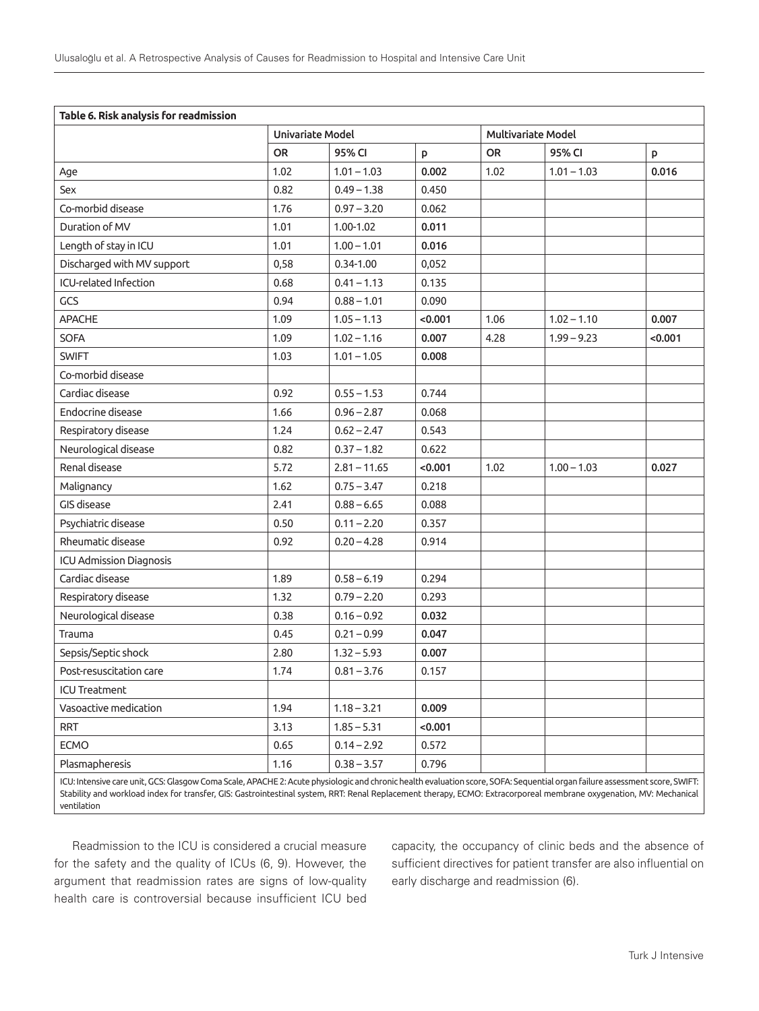| Table 6. Risk analysis for readmission                                                                                                                                      |                         |                |                    |           |               |         |
|-----------------------------------------------------------------------------------------------------------------------------------------------------------------------------|-------------------------|----------------|--------------------|-----------|---------------|---------|
|                                                                                                                                                                             | <b>Univariate Model</b> |                | Multivariate Model |           |               |         |
|                                                                                                                                                                             | <b>OR</b>               | 95% CI         | p                  | <b>OR</b> | 95% CI        | P       |
| Age                                                                                                                                                                         | 1.02                    | $1.01 - 1.03$  | 0.002              | 1.02      | $1.01 - 1.03$ | 0.016   |
| Sex                                                                                                                                                                         | 0.82                    | $0.49 - 1.38$  | 0.450              |           |               |         |
| Co-morbid disease                                                                                                                                                           | 1.76                    | $0.97 - 3.20$  | 0.062              |           |               |         |
| Duration of MV                                                                                                                                                              | 1.01                    | 1.00-1.02      | 0.011              |           |               |         |
| Length of stay in ICU                                                                                                                                                       | 1.01                    | $1.00 - 1.01$  | 0.016              |           |               |         |
| Discharged with MV support                                                                                                                                                  | 0,58                    | $0.34 - 1.00$  | 0,052              |           |               |         |
| ICU-related Infection                                                                                                                                                       | 0.68                    | $0.41 - 1.13$  | 0.135              |           |               |         |
| GCS                                                                                                                                                                         | 0.94                    | $0.88 - 1.01$  | 0.090              |           |               |         |
| <b>APACHE</b>                                                                                                                                                               | 1.09                    | $1.05 - 1.13$  | < 0.001            | 1.06      | $1.02 - 1.10$ | 0.007   |
| SOFA                                                                                                                                                                        | 1.09                    | $1.02 - 1.16$  | 0.007              | 4.28      | $1.99 - 9.23$ | < 0.001 |
| <b>SWIFT</b>                                                                                                                                                                | 1.03                    | $1.01 - 1.05$  | 0.008              |           |               |         |
| Co-morbid disease                                                                                                                                                           |                         |                |                    |           |               |         |
| Cardiac disease                                                                                                                                                             | 0.92                    | $0.55 - 1.53$  | 0.744              |           |               |         |
| Endocrine disease                                                                                                                                                           | 1.66                    | $0.96 - 2.87$  | 0.068              |           |               |         |
| Respiratory disease                                                                                                                                                         | 1.24                    | $0.62 - 2.47$  | 0.543              |           |               |         |
| Neurological disease                                                                                                                                                        | 0.82                    | $0.37 - 1.82$  | 0.622              |           |               |         |
| Renal disease                                                                                                                                                               | 5.72                    | $2.81 - 11.65$ | < 0.001            | 1.02      | $1.00 - 1.03$ | 0.027   |
| Malignancy                                                                                                                                                                  | 1.62                    | $0.75 - 3.47$  | 0.218              |           |               |         |
| GIS disease                                                                                                                                                                 | 2.41                    | $0.88 - 6.65$  | 0.088              |           |               |         |
| Psychiatric disease                                                                                                                                                         | 0.50                    | $0.11 - 2.20$  | 0.357              |           |               |         |
| Rheumatic disease                                                                                                                                                           | 0.92                    | $0.20 - 4.28$  | 0.914              |           |               |         |
| ICU Admission Diagnosis                                                                                                                                                     |                         |                |                    |           |               |         |
| Cardiac disease                                                                                                                                                             | 1.89                    | $0.58 - 6.19$  | 0.294              |           |               |         |
| Respiratory disease                                                                                                                                                         | 1.32                    | $0.79 - 2.20$  | 0.293              |           |               |         |
| Neurological disease                                                                                                                                                        | 0.38                    | $0.16 - 0.92$  | 0.032              |           |               |         |
| Trauma                                                                                                                                                                      | 0.45                    | $0.21 - 0.99$  | 0.047              |           |               |         |
| Sepsis/Septic shock                                                                                                                                                         | 2.80                    | $1.32 - 5.93$  | 0.007              |           |               |         |
| Post-resuscitation care                                                                                                                                                     | 1.74                    | $0.81 - 3.76$  | 0.157              |           |               |         |
| <b>ICU Treatment</b>                                                                                                                                                        |                         |                |                    |           |               |         |
| Vasoactive medication                                                                                                                                                       | 1.94                    | $1.18 - 3.21$  | 0.009              |           |               |         |
| <b>RRT</b>                                                                                                                                                                  | 3.13                    | $1.85 - 5.31$  | < 0.001            |           |               |         |
| <b>ECMO</b>                                                                                                                                                                 | 0.65                    | $0.14 - 2.92$  | 0.572              |           |               |         |
| Plasmapheresis                                                                                                                                                              | 1.16                    | $0.38 - 3.57$  | 0.796              |           |               |         |
| ICU: Intensive care unit, GCS: Glasgow Coma Scale, APACHE 2: Acute physiologic and chronic health evaluation score, SOFA: Sequential organ failure assessment score, SWIFT: |                         |                |                    |           |               |         |

Stability and workload index for transfer, GIS: Gastrointestinal system, RRT: Renal Replacement therapy, ECMO: Extracorporeal membrane oxygenation, MV: Mechanical ventilation

Readmission to the ICU is considered a crucial measure for the safety and the quality of ICUs (6, 9). However, the argument that readmission rates are signs of low-quality health care is controversial because insufficient ICU bed

capacity, the occupancy of clinic beds and the absence of sufficient directives for patient transfer are also influential on early discharge and readmission (6).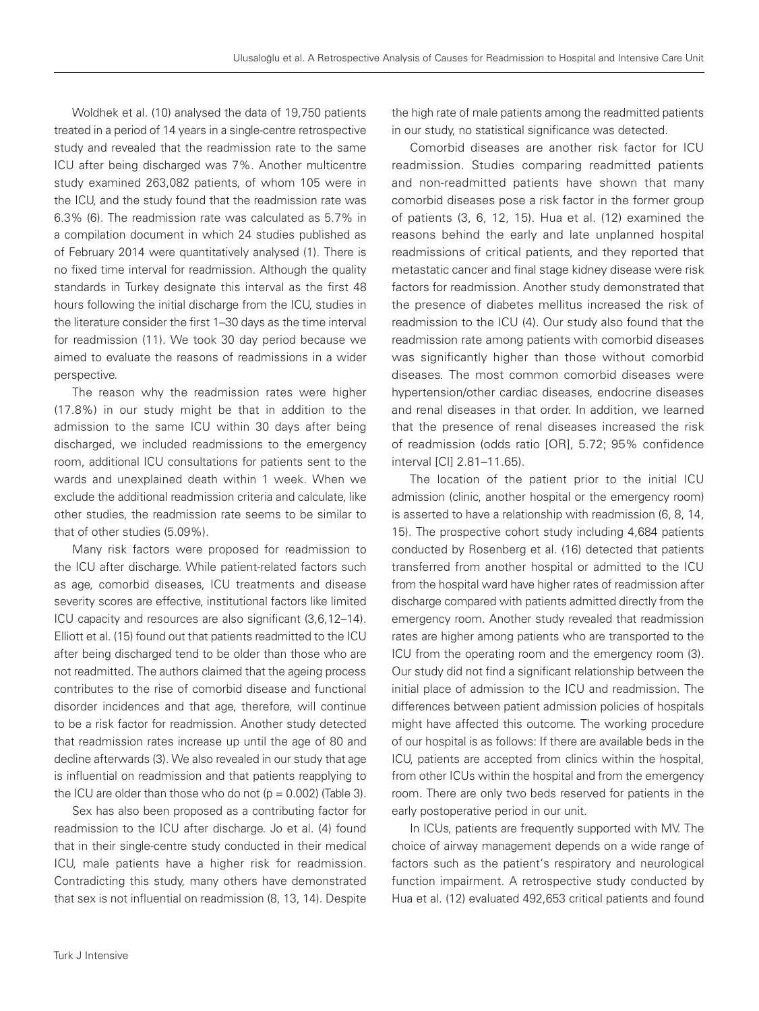Woldhek et al. (10) analysed the data of 19,750 patients treated in a period of 14 years in a single-centre retrospective study and revealed that the readmission rate to the same ICU after being discharged was 7%. Another multicentre study examined 263,082 patients, of whom 105 were in the ICU, and the study found that the readmission rate was 6.3% (6). The readmission rate was calculated as 5.7% in a compilation document in which 24 studies published as of February 2014 were quantitatively analysed (1). There is no fixed time interval for readmission. Although the quality standards in Turkey designate this interval as the first 48 hours following the initial discharge from the ICU, studies in the literature consider the first 1–30 days as the time interval for readmission (11). We took 30 day period because we aimed to evaluate the reasons of readmissions in a wider perspective.

The reason why the readmission rates were higher (17.8%) in our study might be that in addition to the admission to the same ICU within 30 days after being discharged, we included readmissions to the emergency room, additional ICU consultations for patients sent to the wards and unexplained death within 1 week. When we exclude the additional readmission criteria and calculate, like other studies, the readmission rate seems to be similar to that of other studies (5.09%).

Many risk factors were proposed for readmission to the ICU after discharge. While patient-related factors such as age, comorbid diseases, ICU treatments and disease severity scores are effective, institutional factors like limited ICU capacity and resources are also significant (3,6,12–14). Elliott et al. (15) found out that patients readmitted to the ICU after being discharged tend to be older than those who are not readmitted. The authors claimed that the ageing process contributes to the rise of comorbid disease and functional disorder incidences and that age, therefore, will continue to be a risk factor for readmission. Another study detected that readmission rates increase up until the age of 80 and decline afterwards (3). We also revealed in our study that age is influential on readmission and that patients reapplying to the ICU are older than those who do not  $(p = 0.002)$  (Table 3).

Sex has also been proposed as a contributing factor for readmission to the ICU after discharge. Jo et al. (4) found that in their single-centre study conducted in their medical ICU, male patients have a higher risk for readmission. Contradicting this study, many others have demonstrated that sex is not influential on readmission (8, 13, 14). Despite

the high rate of male patients among the readmitted patients in our study, no statistical significance was detected.

Comorbid diseases are another risk factor for ICU readmission. Studies comparing readmitted patients and non-readmitted patients have shown that many comorbid diseases pose a risk factor in the former group of patients (3, 6, 12, 15). Hua et al. (12) examined the reasons behind the early and late unplanned hospital readmissions of critical patients, and they reported that metastatic cancer and final stage kidney disease were risk factors for readmission. Another study demonstrated that the presence of diabetes mellitus increased the risk of readmission to the ICU (4). Our study also found that the readmission rate among patients with comorbid diseases was significantly higher than those without comorbid diseases. The most common comorbid diseases were hypertension/other cardiac diseases, endocrine diseases and renal diseases in that order. In addition, we learned that the presence of renal diseases increased the risk of readmission (odds ratio [OR], 5.72; 95% confidence interval [CI] 2.81–11.65).

The location of the patient prior to the initial ICU admission (clinic, another hospital or the emergency room) is asserted to have a relationship with readmission (6, 8, 14, 15). The prospective cohort study including 4,684 patients conducted by Rosenberg et al. (16) detected that patients transferred from another hospital or admitted to the ICU from the hospital ward have higher rates of readmission after discharge compared with patients admitted directly from the emergency room. Another study revealed that readmission rates are higher among patients who are transported to the ICU from the operating room and the emergency room (3). Our study did not find a significant relationship between the initial place of admission to the ICU and readmission. The differences between patient admission policies of hospitals might have affected this outcome. The working procedure of our hospital is as follows: If there are available beds in the ICU, patients are accepted from clinics within the hospital, from other ICUs within the hospital and from the emergency room. There are only two beds reserved for patients in the early postoperative period in our unit.

In ICUs, patients are frequently supported with MV. The choice of airway management depends on a wide range of factors such as the patient's respiratory and neurological function impairment. A retrospective study conducted by Hua et al. (12) evaluated 492,653 critical patients and found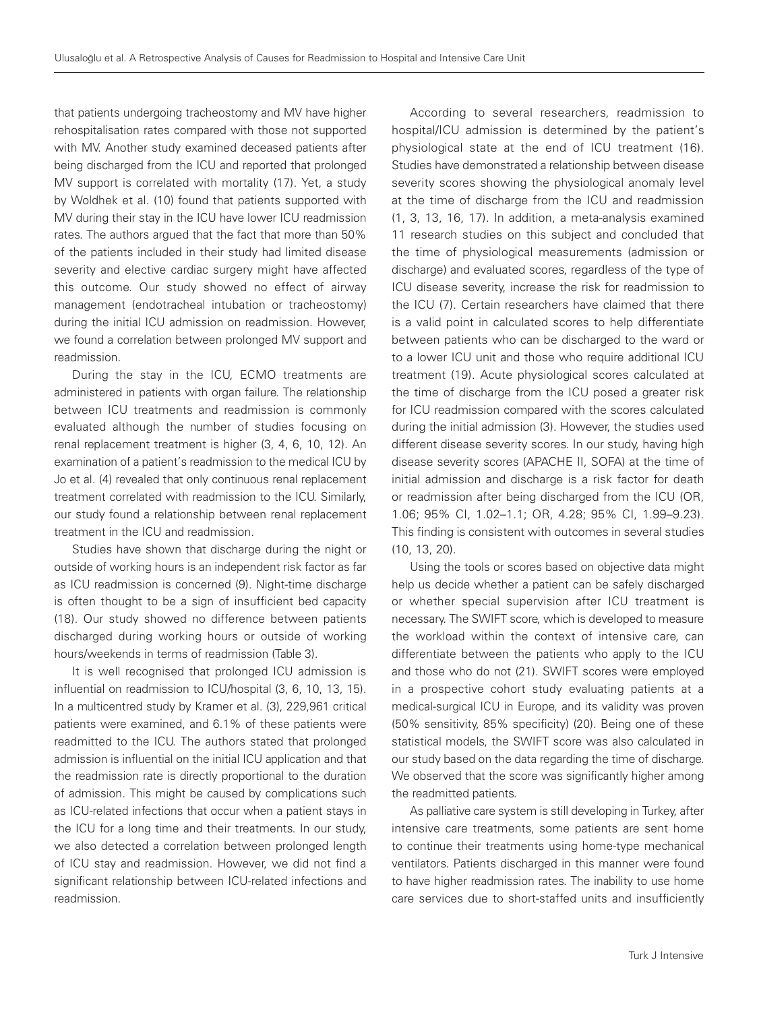that patients undergoing tracheostomy and MV have higher rehospitalisation rates compared with those not supported with MV. Another study examined deceased patients after being discharged from the ICU and reported that prolonged MV support is correlated with mortality (17). Yet, a study by Woldhek et al. (10) found that patients supported with MV during their stay in the ICU have lower ICU readmission rates. The authors argued that the fact that more than 50% of the patients included in their study had limited disease severity and elective cardiac surgery might have affected this outcome. Our study showed no effect of airway management (endotracheal intubation or tracheostomy) during the initial ICU admission on readmission. However, we found a correlation between prolonged MV support and readmission.

During the stay in the ICU, ECMO treatments are administered in patients with organ failure. The relationship between ICU treatments and readmission is commonly evaluated although the number of studies focusing on renal replacement treatment is higher (3, 4, 6, 10, 12). An examination of a patient's readmission to the medical ICU by Jo et al. (4) revealed that only continuous renal replacement treatment correlated with readmission to the ICU. Similarly, our study found a relationship between renal replacement treatment in the ICU and readmission.

Studies have shown that discharge during the night or outside of working hours is an independent risk factor as far as ICU readmission is concerned (9). Night-time discharge is often thought to be a sign of insufficient bed capacity (18). Our study showed no difference between patients discharged during working hours or outside of working hours/weekends in terms of readmission (Table 3).

It is well recognised that prolonged ICU admission is influential on readmission to ICU/hospital (3, 6, 10, 13, 15). In a multicentred study by Kramer et al. (3), 229,961 critical patients were examined, and 6.1% of these patients were readmitted to the ICU. The authors stated that prolonged admission is influential on the initial ICU application and that the readmission rate is directly proportional to the duration of admission. This might be caused by complications such as ICU-related infections that occur when a patient stays in the ICU for a long time and their treatments. In our study, we also detected a correlation between prolonged length of ICU stay and readmission. However, we did not find a significant relationship between ICU-related infections and readmission.

According to several researchers, readmission to hospital/ICU admission is determined by the patient's physiological state at the end of ICU treatment (16). Studies have demonstrated a relationship between disease severity scores showing the physiological anomaly level at the time of discharge from the ICU and readmission (1, 3, 13, 16, 17). In addition, a meta-analysis examined 11 research studies on this subject and concluded that the time of physiological measurements (admission or discharge) and evaluated scores, regardless of the type of ICU disease severity, increase the risk for readmission to the ICU (7). Certain researchers have claimed that there is a valid point in calculated scores to help differentiate between patients who can be discharged to the ward or to a lower ICU unit and those who require additional ICU treatment (19). Acute physiological scores calculated at the time of discharge from the ICU posed a greater risk for ICU readmission compared with the scores calculated during the initial admission (3). However, the studies used different disease severity scores. In our study, having high disease severity scores (APACHE II, SOFA) at the time of initial admission and discharge is a risk factor for death or readmission after being discharged from the ICU (OR, 1.06; 95% CI, 1.02–1.1; OR, 4.28; 95% CI, 1.99–9.23). This finding is consistent with outcomes in several studies (10, 13, 20).

Using the tools or scores based on objective data might help us decide whether a patient can be safely discharged or whether special supervision after ICU treatment is necessary. The SWIFT score, which is developed to measure the workload within the context of intensive care, can differentiate between the patients who apply to the ICU and those who do not (21). SWIFT scores were employed in a prospective cohort study evaluating patients at a medical-surgical ICU in Europe, and its validity was proven (50% sensitivity, 85% specificity) (20). Being one of these statistical models, the SWIFT score was also calculated in our study based on the data regarding the time of discharge. We observed that the score was significantly higher among the readmitted patients.

As palliative care system is still developing in Turkey, after intensive care treatments, some patients are sent home to continue their treatments using home-type mechanical ventilators. Patients discharged in this manner were found to have higher readmission rates. The inability to use home care services due to short-staffed units and insufficiently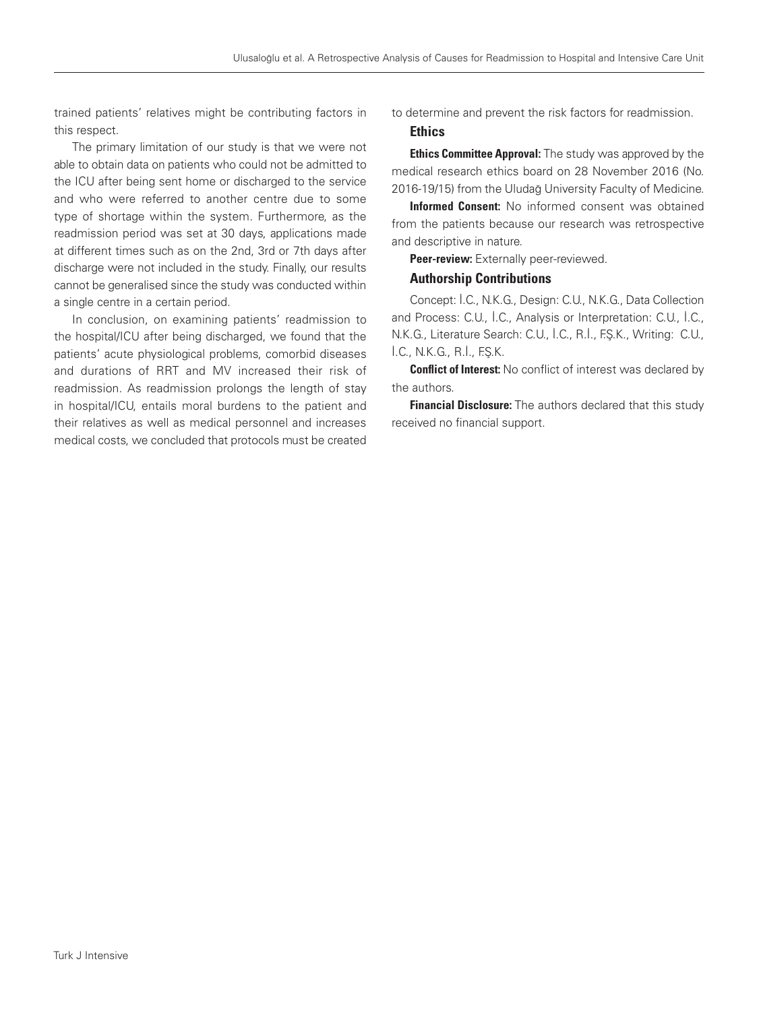trained patients' relatives might be contributing factors in this respect.

The primary limitation of our study is that we were not able to obtain data on patients who could not be admitted to the ICU after being sent home or discharged to the service and who were referred to another centre due to some type of shortage within the system. Furthermore, as the readmission period was set at 30 days, applications made at different times such as on the 2nd, 3rd or 7th days after discharge were not included in the study. Finally, our results cannot be generalised since the study was conducted within a single centre in a certain period.

In conclusion, on examining patients' readmission to the hospital/ICU after being discharged, we found that the patients' acute physiological problems, comorbid diseases and durations of RRT and MV increased their risk of readmission. As readmission prolongs the length of stay in hospital/ICU, entails moral burdens to the patient and their relatives as well as medical personnel and increases medical costs, we concluded that protocols must be created to determine and prevent the risk factors for readmission.

#### **Ethics**

**Ethics Committee Approval:** The study was approved by the medical research ethics board on 28 November 2016 (No. 2016-19/15) from the Uludağ University Faculty of Medicine.

Informed Consent: No informed consent was obtained from the patients because our research was retrospective and descriptive in nature.

Peer-review: Externally peer-reviewed.

#### Authorship Contributions

Concept: İ.C., N.K.G., Design: C.U., N.K.G., Data Collection and Process: C.U., İ.C., Analysis or Interpretation: C.U., İ.C., N.K.G., Literature Search: C.U., İ.C., R.İ., F.Ş.K., Writing: C.U., İ.C., N.K.G., R.İ., F.Ş.K.

**Conflict of Interest:** No conflict of interest was declared by the authors.

**Financial Disclosure:** The authors declared that this study received no financial support.